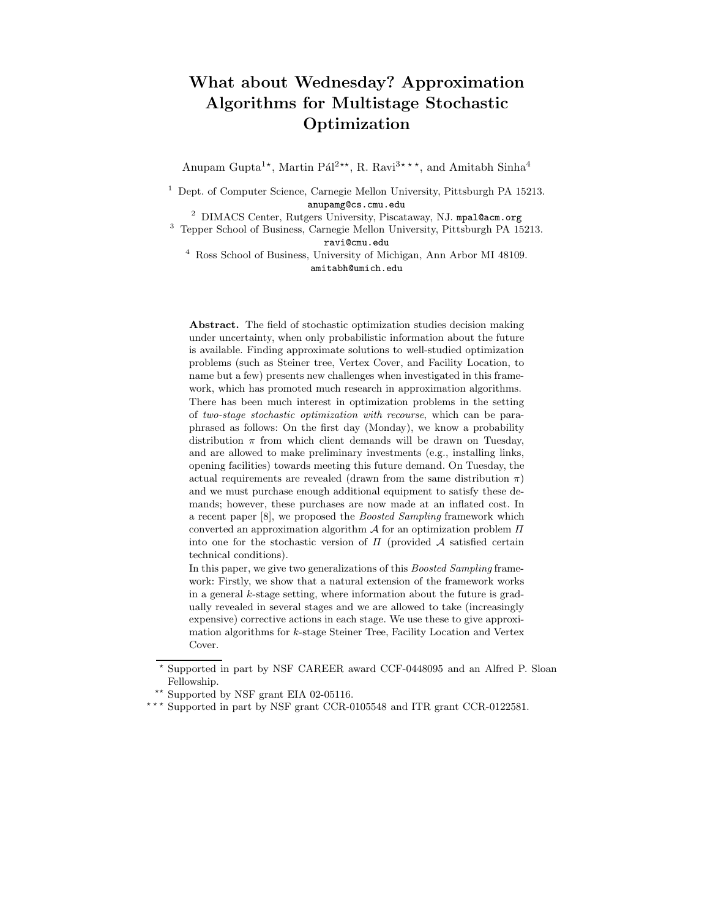# What about Wednesday? Approximation Algorithms for Multistage Stochastic Optimization

Anupam Gupta<sup>1\*</sup>, Martin Pál<sup>2\*\*</sup>, R. Ravi<sup>3\*\*\*</sup>, and Amitabh Sinha<sup>4</sup>

 $^{\rm 1}$  Dept. of Computer Science, Carnegie Mellon University, Pittsburgh PA 15213. anupamg@cs.cmu.edu

<sup>2</sup> DIMACS Center, Rutgers University, Piscataway, NJ. mpal@acm.org

<sup>3</sup> Tepper School of Business, Carnegie Mellon University, Pittsburgh PA 15213. ravi@cmu.edu

<sup>4</sup> Ross School of Business, University of Michigan, Ann Arbor MI 48109. amitabh@umich.edu

Abstract. The field of stochastic optimization studies decision making under uncertainty, when only probabilistic information about the future is available. Finding approximate solutions to well-studied optimization problems (such as Steiner tree, Vertex Cover, and Facility Location, to name but a few) presents new challenges when investigated in this framework, which has promoted much research in approximation algorithms. There has been much interest in optimization problems in the setting of *two-stage stochastic optimization with recourse*, which can be paraphrased as follows: On the first day (Monday), we know a probability distribution  $\pi$  from which client demands will be drawn on Tuesday, and are allowed to make preliminary investments (e.g., installing links, opening facilities) towards meeting this future demand. On Tuesday, the actual requirements are revealed (drawn from the same distribution  $\pi$ ) and we must purchase enough additional equipment to satisfy these demands; however, these purchases are now made at an inflated cost. In a recent paper [8], we proposed the *Boosted Sampling* framework which converted an approximation algorithm  $\mathcal A$  for an optimization problem  $\Pi$ into one for the stochastic version of  $\Pi$  (provided  $A$  satisfied certain technical conditions).

In this paper, we give two generalizations of this *Boosted Sampling* framework: Firstly, we show that a natural extension of the framework works in a general  $k$ -stage setting, where information about the future is gradually revealed in several stages and we are allowed to take (increasingly expensive) corrective actions in each stage. We use these to give approximation algorithms for k-stage Steiner Tree, Facility Location and Vertex Cover.

Supported in part by NSF CAREER award CCF-0448095 and an Alfred P. Sloan Fellowship.

<sup>\*\*</sup> Supported by NSF grant EIA 02-05116.

 $\star \star \star$  Supported in part by NSF grant CCR-0105548 and ITR grant CCR-0122581.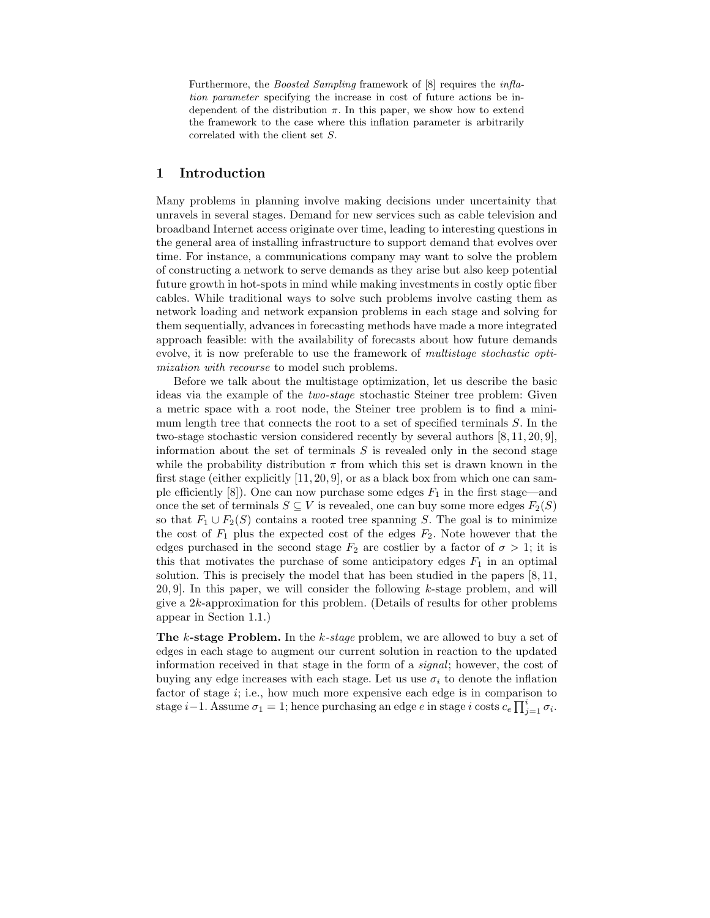Furthermore, the *Boosted Sampling* framework of [8] requires the *inflation parameter* specifying the increase in cost of future actions be independent of the distribution  $\pi$ . In this paper, we show how to extend the framework to the case where this inflation parameter is arbitrarily correlated with the client set S.

# 1 Introduction

Many problems in planning involve making decisions under uncertainity that unravels in several stages. Demand for new services such as cable television and broadband Internet access originate over time, leading to interesting questions in the general area of installing infrastructure to support demand that evolves over time. For instance, a communications company may want to solve the problem of constructing a network to serve demands as they arise but also keep potential future growth in hot-spots in mind while making investments in costly optic fiber cables. While traditional ways to solve such problems involve casting them as network loading and network expansion problems in each stage and solving for them sequentially, advances in forecasting methods have made a more integrated approach feasible: with the availability of forecasts about how future demands evolve, it is now preferable to use the framework of multistage stochastic optimization with recourse to model such problems.

Before we talk about the multistage optimization, let us describe the basic ideas via the example of the two-stage stochastic Steiner tree problem: Given a metric space with a root node, the Steiner tree problem is to find a minimum length tree that connects the root to a set of specified terminals S. In the two-stage stochastic version considered recently by several authors [8, 11, 20, 9], information about the set of terminals  $S$  is revealed only in the second stage while the probability distribution  $\pi$  from which this set is drawn known in the first stage (either explicitly [11, 20, 9], or as a black box from which one can sample efficiently  $[8]$ ). One can now purchase some edges  $F_1$  in the first stage—and once the set of terminals  $S \subseteq V$  is revealed, one can buy some more edges  $F_2(S)$ so that  $F_1 \cup F_2(S)$  contains a rooted tree spanning S. The goal is to minimize the cost of  $F_1$  plus the expected cost of the edges  $F_2$ . Note however that the edges purchased in the second stage  $F_2$  are costlier by a factor of  $\sigma > 1$ ; it is this that motivates the purchase of some anticipatory edges  $F_1$  in an optimal solution. This is precisely the model that has been studied in the papers [8, 11,  $20, 9$ . In this paper, we will consider the following k-stage problem, and will give a 2k-approximation for this problem. (Details of results for other problems appear in Section 1.1.)

The k-stage Problem. In the k-stage problem, we are allowed to buy a set of edges in each stage to augment our current solution in reaction to the updated information received in that stage in the form of a signal; however, the cost of buying any edge increases with each stage. Let us use  $\sigma_i$  to denote the inflation factor of stage  $i$ ; i.e., how much more expensive each edge is in comparison to stage  $i-1$ . Assume  $\sigma_1 = 1$ ; hence purchasing an edge  $e$  in stage  $i$  costs  $c_e \prod_{j=1}^{i} \sigma_i$ .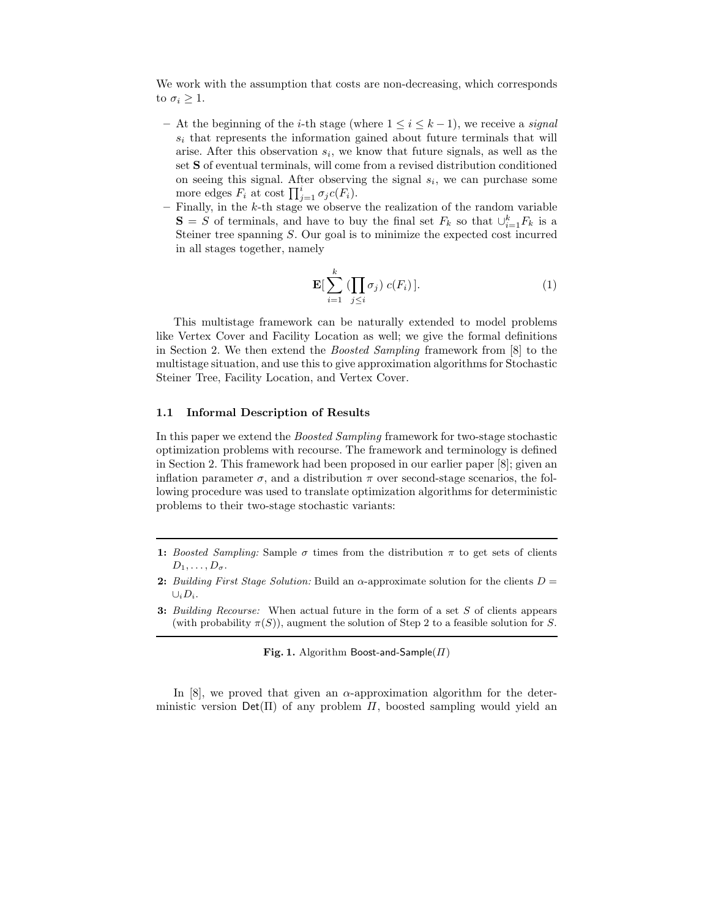We work with the assumption that costs are non-decreasing, which corresponds to  $\sigma_i \geq 1$ .

- At the beginning of the *i*-th stage (where  $1 \leq i \leq k-1$ ), we receive a *signal*  $s_i$  that represents the information gained about future terminals that will arise. After this observation  $s_i$ , we know that future signals, as well as the set S of eventual terminals, will come from a revised distribution conditioned on seeing this signal. After observing the signal  $s_i$ , we can purchase some more edges  $F_i$  at cost  $\prod_{j=1}^i \sigma_j c(F_i)$ .
- Finally, in the  $k$ -th stage we observe the realization of the random variable  $\mathbf{S} = S$  of terminals, and have to buy the final set  $F_k$  so that  $\cup_{i=1}^k F_k$  is a Steiner tree spanning S. Our goal is to minimize the expected cost incurred in all stages together, namely

$$
\mathbf{E}[\sum_{i=1}^{k} (\prod_{j\leq i} \sigma_j) c(F_i)].
$$
 (1)

This multistage framework can be naturally extended to model problems like Vertex Cover and Facility Location as well; we give the formal definitions in Section 2. We then extend the Boosted Sampling framework from [8] to the multistage situation, and use this to give approximation algorithms for Stochastic Steiner Tree, Facility Location, and Vertex Cover.

#### 1.1 Informal Description of Results

In this paper we extend the Boosted Sampling framework for two-stage stochastic optimization problems with recourse. The framework and terminology is defined in Section 2. This framework had been proposed in our earlier paper [8]; given an inflation parameter  $\sigma$ , and a distribution  $\pi$  over second-stage scenarios, the following procedure was used to translate optimization algorithms for deterministic problems to their two-stage stochastic variants:

- 1: *Boosted Sampling:* Sample  $\sigma$  times from the distribution  $\pi$  to get sets of clients  $D_1, \ldots, D_{\sigma}$ .
- 2: *Building First Stage Solution:* Build an  $\alpha$ -approximate solution for the clients  $D =$  $\cup_i D_i.$
- 3: *Building Recourse:* When actual future in the form of a set S of clients appears (with probability  $\pi(S)$ ), augment the solution of Step 2 to a feasible solution for S.

Fig. 1. Algorithm Boost-and-Sample( $\Pi$ )

In [8], we proved that given an  $\alpha$ -approximation algorithm for the deterministic version  $Det(\Pi)$  of any problem  $\Pi$ , boosted sampling would yield an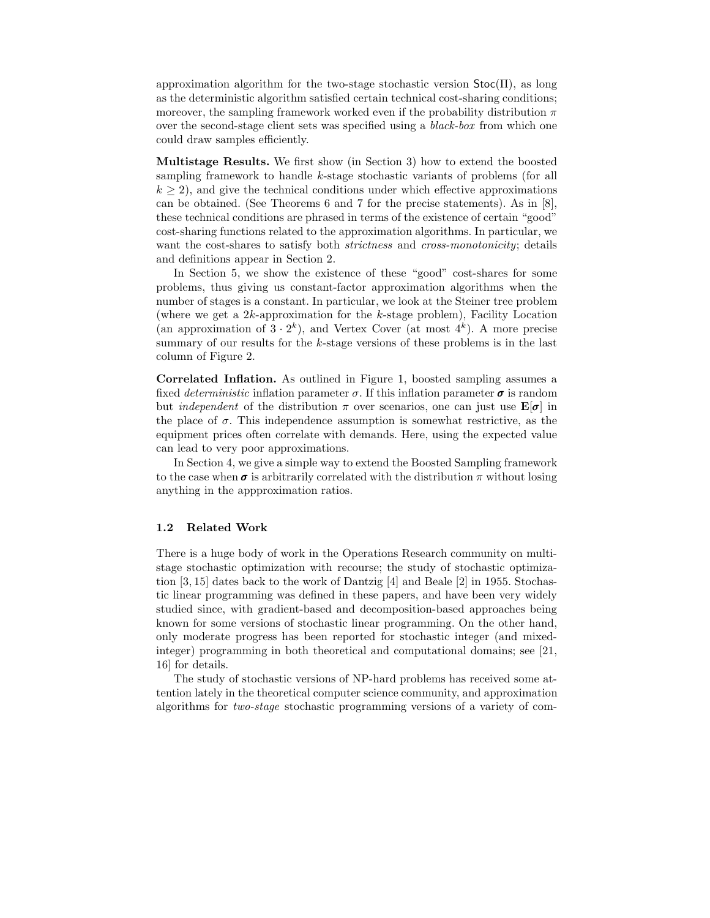approximation algorithm for the two-stage stochastic version  $Stoc(\Pi)$ , as long as the deterministic algorithm satisfied certain technical cost-sharing conditions; moreover, the sampling framework worked even if the probability distribution  $\pi$ over the second-stage client sets was specified using a black-box from which one could draw samples efficiently.

Multistage Results. We first show (in Section 3) how to extend the boosted sampling framework to handle k-stage stochastic variants of problems (for all  $k \geq 2$ , and give the technical conditions under which effective approximations can be obtained. (See Theorems 6 and 7 for the precise statements). As in [8], these technical conditions are phrased in terms of the existence of certain "good" cost-sharing functions related to the approximation algorithms. In particular, we want the cost-shares to satisfy both *strictness* and *cross-monotonicity*; details and definitions appear in Section 2.

In Section 5, we show the existence of these "good" cost-shares for some problems, thus giving us constant-factor approximation algorithms when the number of stages is a constant. In particular, we look at the Steiner tree problem (where we get a 2k-approximation for the k-stage problem), Facility Location (an approximation of  $3 \cdot 2^k$ ), and Vertex Cover (at most  $4^k$ ). A more precise summary of our results for the k-stage versions of these problems is in the last column of Figure 2.

Correlated Inflation. As outlined in Figure 1, boosted sampling assumes a fixed *deterministic* inflation parameter  $\sigma$ . If this inflation parameter  $\sigma$  is random but *independent* of the distribution  $\pi$  over scenarios, one can just use  $\mathbf{E}[\sigma]$  in the place of  $\sigma$ . This independence assumption is somewhat restrictive, as the equipment prices often correlate with demands. Here, using the expected value can lead to very poor approximations.

In Section 4, we give a simple way to extend the Boosted Sampling framework to the case when  $\sigma$  is arbitrarily correlated with the distribution  $\pi$  without losing anything in the appproximation ratios.

#### 1.2 Related Work

There is a huge body of work in the Operations Research community on multistage stochastic optimization with recourse; the study of stochastic optimization [3, 15] dates back to the work of Dantzig [4] and Beale [2] in 1955. Stochastic linear programming was defined in these papers, and have been very widely studied since, with gradient-based and decomposition-based approaches being known for some versions of stochastic linear programming. On the other hand, only moderate progress has been reported for stochastic integer (and mixedinteger) programming in both theoretical and computational domains; see [21, 16] for details.

The study of stochastic versions of NP-hard problems has received some attention lately in the theoretical computer science community, and approximation algorithms for two-stage stochastic programming versions of a variety of com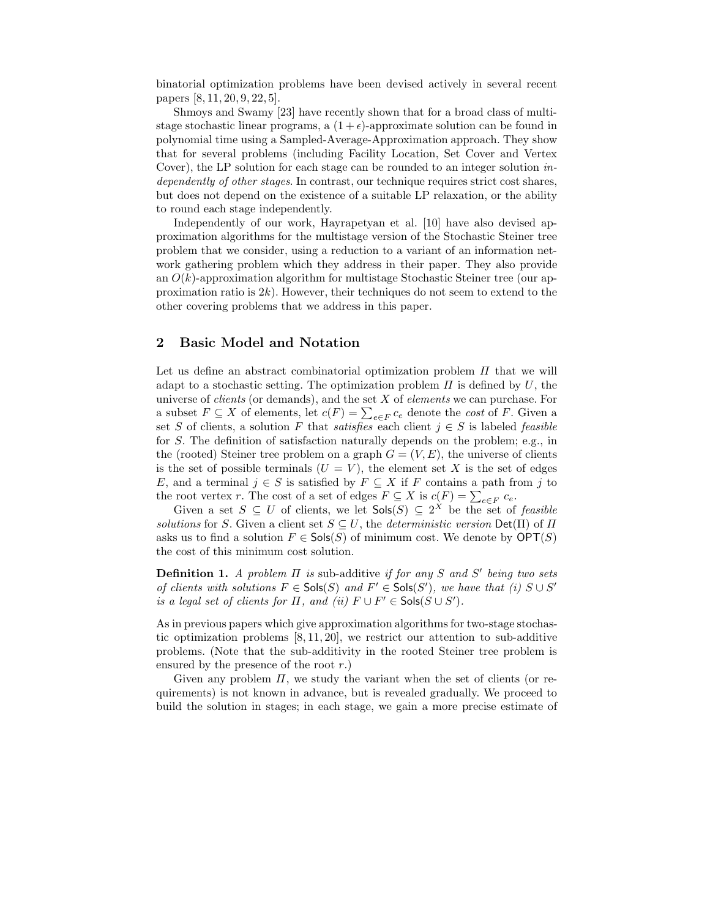binatorial optimization problems have been devised actively in several recent papers [8, 11, 20, 9, 22, 5].

Shmoys and Swamy [23] have recently shown that for a broad class of multistage stochastic linear programs, a  $(1 + \epsilon)$ -approximate solution can be found in polynomial time using a Sampled-Average-Approximation approach. They show that for several problems (including Facility Location, Set Cover and Vertex Cover), the LP solution for each stage can be rounded to an integer solution independently of other stages. In contrast, our technique requires strict cost shares, but does not depend on the existence of a suitable LP relaxation, or the ability to round each stage independently.

Independently of our work, Hayrapetyan et al. [10] have also devised approximation algorithms for the multistage version of the Stochastic Steiner tree problem that we consider, using a reduction to a variant of an information network gathering problem which they address in their paper. They also provide an  $O(k)$ -approximation algorithm for multistage Stochastic Steiner tree (our approximation ratio is  $2k$ ). However, their techniques do not seem to extend to the other covering problems that we address in this paper.

# 2 Basic Model and Notation

Let us define an abstract combinatorial optimization problem  $\Pi$  that we will adapt to a stochastic setting. The optimization problem  $\Pi$  is defined by U, the universe of *clients* (or demands), and the set  $X$  of *elements* we can purchase. For a subset  $F \subseteq X$  of elements, let  $c(F) = \sum_{e \in F} c_e$  denote the cost of F. Given a set S of clients, a solution F that *satisfies* each client  $j \in S$  is labeled *feasible* for S. The definition of satisfaction naturally depends on the problem; e.g., in the (rooted) Steiner tree problem on a graph  $G = (V, E)$ , the universe of clients is the set of possible terminals  $(U = V)$ , the element set X is the set of edges E, and a terminal  $j \in S$  is satisfied by  $F \subseteq X$  if F contains a path from j to the root vertex r. The cost of a set of edges  $F \subseteq X$  is  $c(F) = \sum_{e \in F} c_e$ .

Given a set  $S \subseteq U$  of clients, we let  $\mathsf{Sols}(S) \subseteq 2^X$  be the set of *feasible* solutions for S. Given a client set  $S \subseteq U$ , the *deterministic version*  $Det(\Pi)$  of  $\Pi$ asks us to find a solution  $F \in \mathsf{Sols}(S)$  of minimum cost. We denote by  $\mathsf{OPT}(S)$ the cost of this minimum cost solution.

**Definition 1.** A problem  $\Pi$  is sub-additive if for any  $S$  and  $S'$  being two sets of clients with solutions  $F \in \mathsf{Sols}(S)$  and  $F' \in \mathsf{Sols}(S')$ , we have that (i)  $S \cup S'$ is a legal set of clients for  $\Pi$ , and (ii)  $F \cup F' \in \mathsf{Sols}(S \cup S')$ .

As in previous papers which give approximation algorithms for two-stage stochastic optimization problems  $[8, 11, 20]$ , we restrict our attention to sub-additive problems. (Note that the sub-additivity in the rooted Steiner tree problem is ensured by the presence of the root  $r$ .)

Given any problem  $\Pi$ , we study the variant when the set of clients (or requirements) is not known in advance, but is revealed gradually. We proceed to build the solution in stages; in each stage, we gain a more precise estimate of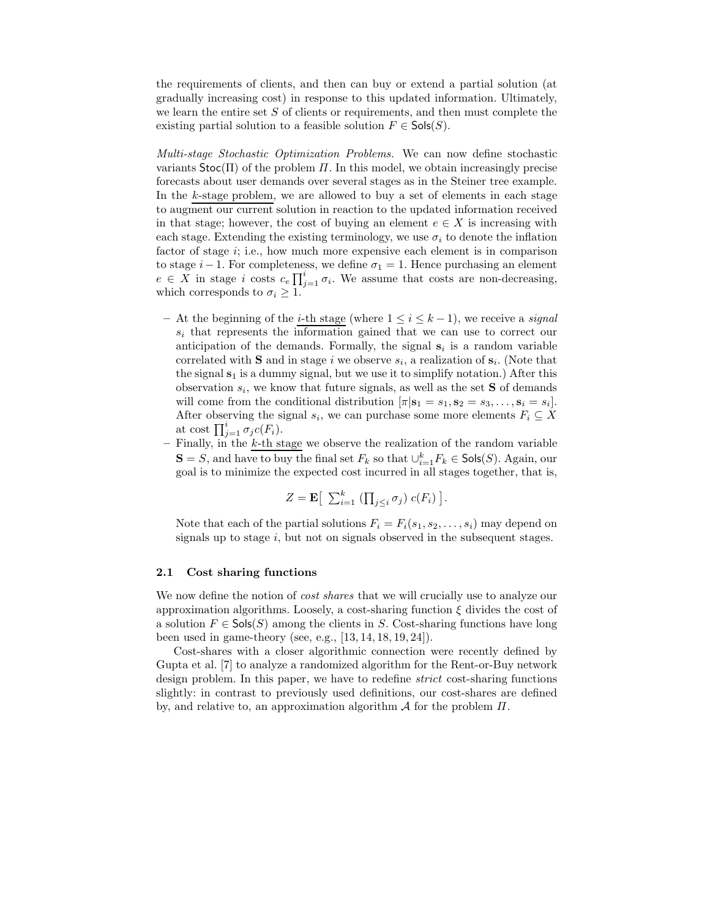the requirements of clients, and then can buy or extend a partial solution (at gradually increasing cost) in response to this updated information. Ultimately, we learn the entire set  $S$  of clients or requirements, and then must complete the existing partial solution to a feasible solution  $F \in \mathsf{Sols}(S)$ .

Multi-stage Stochastic Optimization Problems. We can now define stochastic variants  $\text{Stoc}(\Pi)$  of the problem  $\Pi$ . In this model, we obtain increasingly precise forecasts about user demands over several stages as in the Steiner tree example. In the k-stage problem, we are allowed to buy a set of elements in each stage to augment our current solution in reaction to the updated information received in that stage; however, the cost of buying an element  $e \in X$  is increasing with each stage. Extending the existing terminology, we use  $\sigma_i$  to denote the inflation factor of stage  $i$ ; i.e., how much more expensive each element is in comparison to stage  $i-1$ . For completeness, we define  $\sigma_1 = 1$ . Hence purchasing an element  $e \in X$  in stage i costs  $c_e \prod_{j=1}^i \sigma_i$ . We assume that costs are non-decreasing, which corresponds to  $\sigma_i \geq 1$ .

- At the beginning of the *i*-th stage (where  $1 \leq i \leq k-1$ ), we receive a *signal*  $s_i$  that represents the information gained that we can use to correct our anticipation of the demands. Formally, the signal  $s_i$  is a random variable correlated with **S** and in stage i we observe  $s_i$ , a realization of  $s_i$ . (Note that the signal  $s_1$  is a dummy signal, but we use it to simplify notation.) After this observation  $s_i$ , we know that future signals, as well as the set **S** of demands will come from the conditional distribution  $[\pi | \mathbf{s}_1 = s_1, \mathbf{s}_2 = s_3, \dots, \mathbf{s}_i = s_i].$ After observing the signal  $s_i$ , we can purchase some more elements  $F_i \subseteq X$ at cost  $\prod_{j=1}^i \sigma_j c(F_i)$ .
- $-$  Finally, in the k-th stage we observe the realization of the random variable  $\mathbf{S} = S$ , and have to buy the final set  $F_k$  so that  $\cup_{i=1}^k F_k \in \mathsf{Sols}(S)$ . Again, our goal is to minimize the expected cost incurred in all stages together, that is,

$$
Z = \mathbf{E} \left[ \sum_{i=1}^{k} \left( \prod_{j \leq i} \sigma_j \right) c(F_i) \right].
$$

Note that each of the partial solutions  $F_i = F_i(s_1, s_2, \ldots, s_i)$  may depend on signals up to stage  $i$ , but not on signals observed in the subsequent stages.

#### 2.1 Cost sharing functions

We now define the notion of *cost shares* that we will crucially use to analyze our approximation algorithms. Loosely, a cost-sharing function  $\xi$  divides the cost of a solution  $F \in \mathsf{Sols}(S)$  among the clients in S. Cost-sharing functions have long been used in game-theory (see, e.g., [13, 14, 18, 19, 24]).

Cost-shares with a closer algorithmic connection were recently defined by Gupta et al. [7] to analyze a randomized algorithm for the Rent-or-Buy network design problem. In this paper, we have to redefine *strict* cost-sharing functions slightly: in contrast to previously used definitions, our cost-shares are defined by, and relative to, an approximation algorithm  $A$  for the problem  $\Pi$ .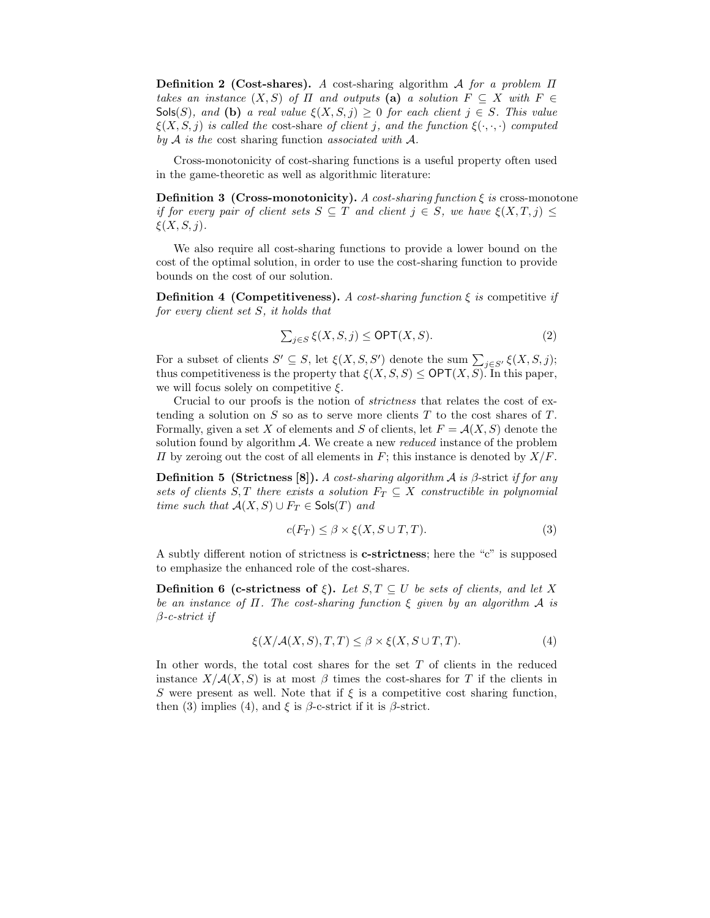**Definition 2 (Cost-shares).** A cost-sharing algorithm A for a problem  $\Pi$ takes an instance  $(X, S)$  of  $\Pi$  and outputs (a) a solution  $F \subseteq X$  with  $F \in$ Sols(S), and (b) a real value  $\xi(X, S, j) \geq 0$  for each client  $j \in S$ . This value  $\xi(X, S, j)$  is called the cost-share of client j, and the function  $\xi(\cdot, \cdot, \cdot)$  computed by  $A$  is the cost sharing function associated with  $A$ .

Cross-monotonicity of cost-sharing functions is a useful property often used in the game-theoretic as well as algorithmic literature:

**Definition 3 (Cross-monotonicity).** A cost-sharing function  $\xi$  is cross-monotone if for every pair of client sets  $S \subseteq T$  and client  $j \in S$ , we have  $\xi(X,T,j) \leq$  $\xi(X, S, j).$ 

We also require all cost-sharing functions to provide a lower bound on the cost of the optimal solution, in order to use the cost-sharing function to provide bounds on the cost of our solution.

**Definition 4 (Competitiveness).** A cost-sharing function  $\xi$  is competitive if for every client set S, it holds that

$$
\sum_{j \in S} \xi(X, S, j) \le \text{OPT}(X, S). \tag{2}
$$

For a subset of clients  $S' \subseteq S$ , let  $\xi(X, S, S')$  denote the sum  $\sum_{j \in S'} \xi(X, S, j)$ ; thus competitiveness is the property that  $\xi(X, S, S) \le \text{OPT}(X, S)$ . In this paper, we will focus solely on competitive  $\xi$ .

Crucial to our proofs is the notion of strictness that relates the cost of extending a solution on  $S$  so as to serve more clients  $T$  to the cost shares of  $T$ . Formally, given a set X of elements and S of clients, let  $F = \mathcal{A}(X, S)$  denote the solution found by algorithm  $\mathcal A$ . We create a new *reduced* instance of the problem  $\Pi$  by zeroing out the cost of all elements in F; this instance is denoted by  $X/F$ .

**Definition 5 (Strictness [8]).** A cost-sharing algorithm A is  $\beta$ -strict if for any sets of clients S, T there exists a solution  $F_T \subseteq X$  constructible in polynomial time such that  $A(X, S) \cup F_T \in \mathsf{Sols}(T)$  and

$$
c(F_T) \le \beta \times \xi(X, S \cup T, T). \tag{3}
$$

A subtly different notion of strictness is c-strictness; here the "c" is supposed to emphasize the enhanced role of the cost-shares.

**Definition 6 (c-strictness of ξ).** Let  $S, T \subseteq U$  be sets of clients, and let X be an instance of  $\Pi$ . The cost-sharing function  $\xi$  given by an algorithm  $A$  is  $\beta$ -c-strict if

$$
\xi(X/\mathcal{A}(X,S),T,T) \le \beta \times \xi(X,S \cup T,T). \tag{4}
$$

In other words, the total cost shares for the set  $T$  of clients in the reduced instance  $X/\mathcal{A}(X, S)$  is at most  $\beta$  times the cost-shares for T if the clients in S were present as well. Note that if  $\xi$  is a competitive cost sharing function, then (3) implies (4), and  $\xi$  is  $\beta$ -c-strict if it is  $\beta$ -strict.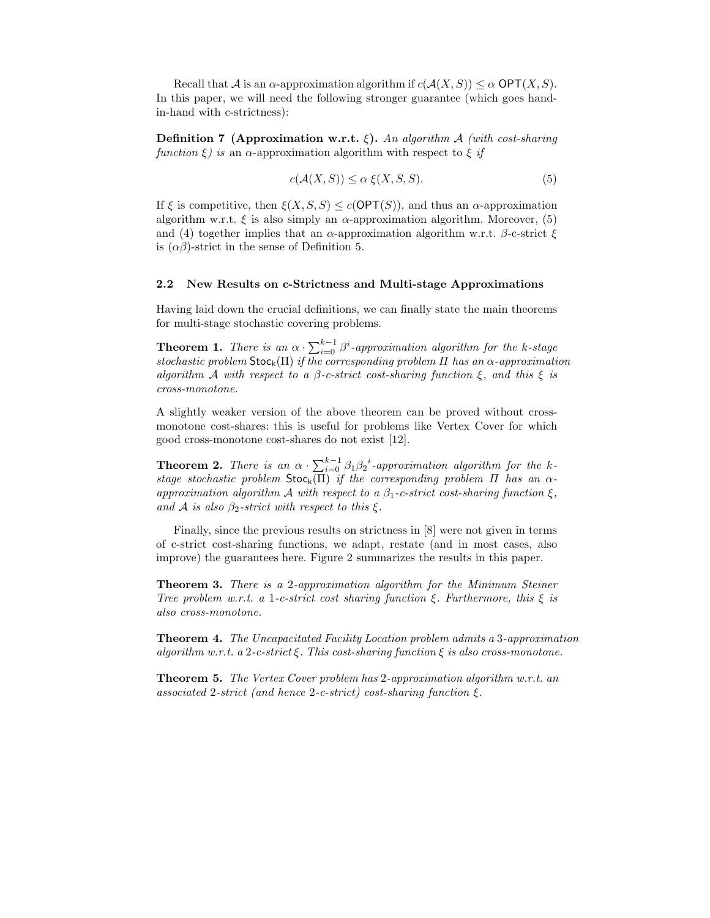Recall that A is an  $\alpha$ -approximation algorithm if  $c(\mathcal{A}(X, S)) \leq \alpha$  OPT $(X, S)$ . In this paper, we will need the following stronger guarantee (which goes handin-hand with c-strictness):

Definition 7 (Approximation w.r.t.  $\xi$ ). An algorithm A (with cost-sharing function  $\xi$ ) is an  $\alpha$ -approximation algorithm with respect to  $\xi$  if

$$
c(\mathcal{A}(X, S)) \le \alpha \xi(X, S, S). \tag{5}
$$

If  $\xi$  is competitive, then  $\xi(X, S, S) \leq c(OPT(S))$ , and thus an  $\alpha$ -approximation algorithm w.r.t.  $\xi$  is also simply an  $\alpha$ -approximation algorithm. Moreover, (5) and (4) together implies that an  $\alpha$ -approximation algorithm w.r.t.  $\beta$ -c-strict  $\xi$ is  $(\alpha\beta)$ -strict in the sense of Definition 5.

#### 2.2 New Results on c-Strictness and Multi-stage Approximations

Having laid down the crucial definitions, we can finally state the main theorems for multi-stage stochastic covering problems.

**Theorem 1.** There is an  $\alpha \cdot \sum_{i=0}^{k-1} \beta^i$ -approximation algorithm for the k-stage stochastic problem  $\text{Stoc}_k(\Pi)$  if the corresponding problem  $\Pi$  has an  $\alpha$ -approximation algorithm A with respect to a  $\beta$ -c-strict cost-sharing function  $\xi$ , and this  $\xi$  is cross-monotone.

A slightly weaker version of the above theorem can be proved without crossmonotone cost-shares: this is useful for problems like Vertex Cover for which good cross-monotone cost-shares do not exist [12].

**Theorem 2.** There is an  $\alpha \cdot \sum_{i=0}^{k-1} \beta_i \beta_2^i$ -approximation algorithm for the kstage stochastic problem  $\text{Stoc}_k(\overline{\Pi})$  if the corresponding problem  $\Pi$  has an  $\alpha$ approximation algorithm A with respect to a  $\beta_1$ -c-strict cost-sharing function  $\xi$ . and A is also  $\beta_2$ -strict with respect to this  $\xi$ .

Finally, since the previous results on strictness in [8] were not given in terms of c-strict cost-sharing functions, we adapt, restate (and in most cases, also improve) the guarantees here. Figure 2 summarizes the results in this paper.

Theorem 3. There is a 2-approximation algorithm for the Minimum Steiner Tree problem w.r.t. a 1-c-strict cost sharing function  $\xi$ . Furthermore, this  $\xi$  is also cross-monotone.

Theorem 4. The Uncapacitated Facility Location problem admits a 3-approximation algorithm w.r.t. a 2-c-strict ξ. This cost-sharing function  $\xi$  is also cross-monotone.

Theorem 5. The Vertex Cover problem has 2-approximation algorithm w.r.t. an associated 2-strict (and hence 2-c-strict) cost-sharing function  $\xi$ .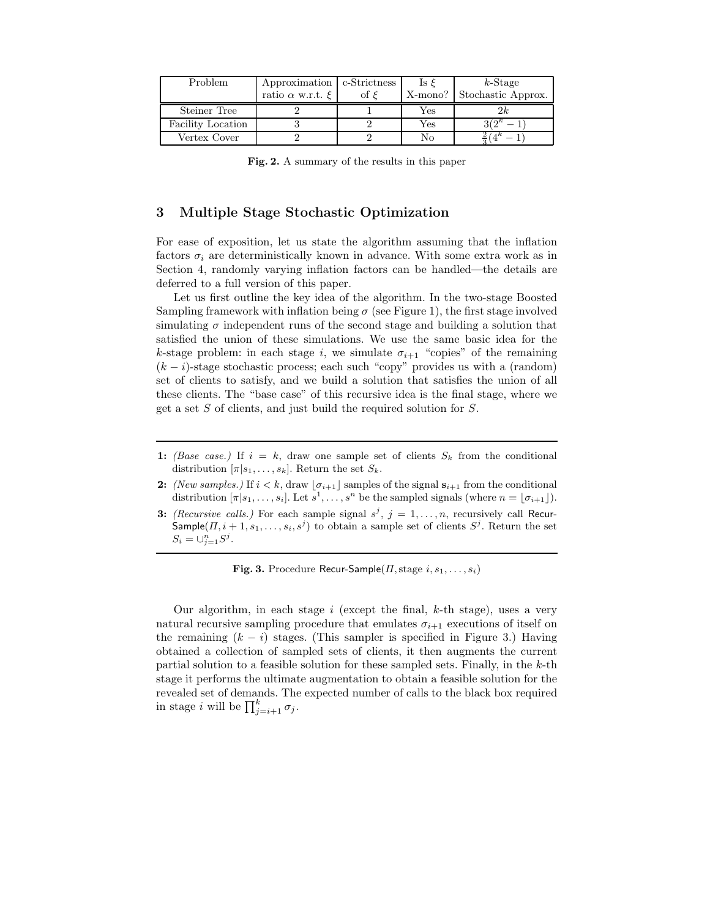| Problem           | Approximation   c-Strictness |               | ls ε | $k$ -Stage                 |
|-------------------|------------------------------|---------------|------|----------------------------|
|                   | ratio $\alpha$ w.r.t. $\xi$  | ot $\epsilon$ |      | X-mono? Stochastic Approx. |
| Steiner Tree      |                              |               | Yes  | 2k                         |
| Facility Location |                              |               | Yes  | $2(\lambda)k$              |
| Vertex Cover      |                              |               | No   |                            |

Fig. 2. A summary of the results in this paper

# 3 Multiple Stage Stochastic Optimization

For ease of exposition, let us state the algorithm assuming that the inflation factors  $\sigma_i$  are deterministically known in advance. With some extra work as in Section 4, randomly varying inflation factors can be handled—the details are deferred to a full version of this paper.

Let us first outline the key idea of the algorithm. In the two-stage Boosted Sampling framework with inflation being  $\sigma$  (see Figure 1), the first stage involved simulating  $\sigma$  independent runs of the second stage and building a solution that satisfied the union of these simulations. We use the same basic idea for the k-stage problem: in each stage i, we simulate  $\sigma_{i+1}$  "copies" of the remaining  $(k - i)$ -stage stochastic process; each such "copy" provides us with a (random) set of clients to satisfy, and we build a solution that satisfies the union of all these clients. The "base case" of this recursive idea is the final stage, where we get a set  $S$  of clients, and just build the required solution for  $S$ .

- 1: *(Base case.)* If  $i = k$ , draw one sample set of clients  $S_k$  from the conditional distribution  $[\pi|s_1,\ldots,s_k]$ . Return the set  $S_k$ .
- 2: *(New samples.)* If  $i < k$ , draw  $\lfloor \sigma_{i+1} \rfloor$  samples of the signal  $s_{i+1}$  from the conditional distribution  $[\pi|s_1,\ldots,s_i]$ . Let  $s^1,\ldots,s^n$  be the sampled signals (where  $n = \lfloor \sigma_{i+1} \rfloor$ ).
- 3: *(Recursive calls.)* For each sample signal  $s^j$ ,  $j = 1, \ldots, n$ , recursively call Recur- $\mathsf{Sample}(I\!, i+1, s_1, \ldots, s_i, s^j)$  to obtain a sample set of clients  $S^j$ . Return the set  $S_i = \cup_{j=1}^n S^j$ .

Fig. 3. Procedure Recur-Sample( $\Pi$ , stage  $i, s_1, \ldots, s_i$ )

Our algorithm, in each stage  $i$  (except the final,  $k$ -th stage), uses a very natural recursive sampling procedure that emulates  $\sigma_{i+1}$  executions of itself on the remaining  $(k - i)$  stages. (This sampler is specified in Figure 3.) Having obtained a collection of sampled sets of clients, it then augments the current partial solution to a feasible solution for these sampled sets. Finally, in the  $k$ -th stage it performs the ultimate augmentation to obtain a feasible solution for the revealed set of demands. The expected number of calls to the black box required in stage *i* will be  $\prod_{j=i+1}^{k} \sigma_j$ .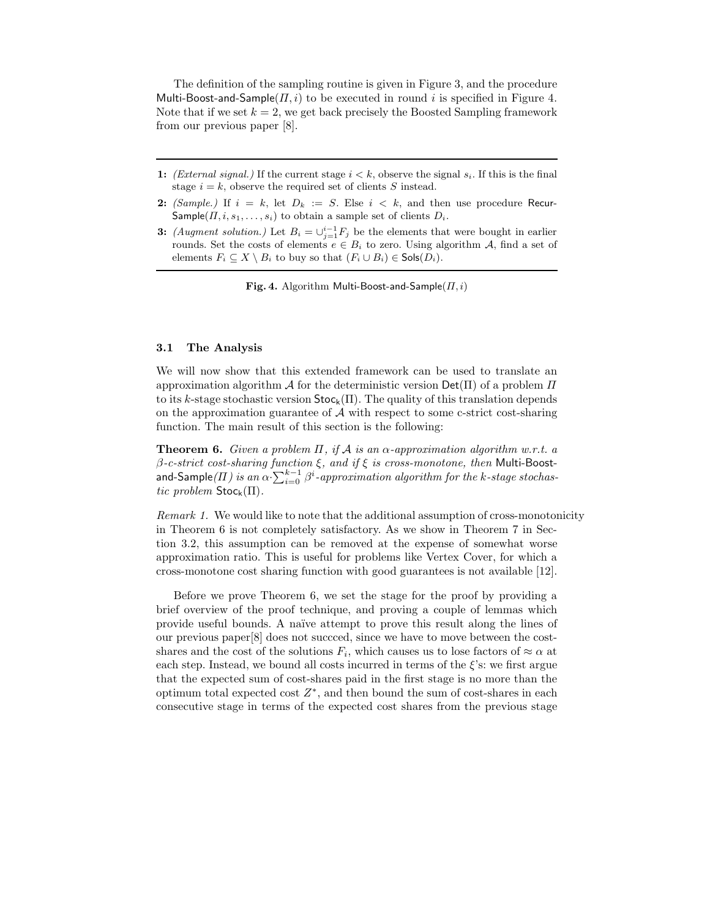The definition of the sampling routine is given in Figure 3, and the procedure Multi-Boost-and-Sample( $\Pi$ , i) to be executed in round i is specified in Figure 4. Note that if we set  $k = 2$ , we get back precisely the Boosted Sampling framework from our previous paper [8].

- 1: *(External signal.)* If the current stage  $i < k$ , observe the signal  $s_i$ . If this is the final stage  $i = k$ , observe the required set of clients S instead.
- 2: *(Sample.)* If  $i = k$ , let  $D_k := S$ . Else  $i < k$ , and then use procedure Recur-Sample( $\Pi$ ,  $i$ ,  $s_1$ , ...,  $s_i$ ) to obtain a sample set of clients  $D_i$ .
- 3: *(Augment solution.)* Let  $B_i = \bigcup_{j=1}^{i-1} F_j$  be the elements that were bought in earlier rounds. Set the costs of elements  $e \in B_i$  to zero. Using algorithm A, find a set of elements  $F_i \subseteq X \setminus B_i$  to buy so that  $(F_i \cup B_i) \in \mathsf{Sols}(D_i)$ .

Fig. 4. Algorithm Multi-Boost-and-Sample( $\Pi, i$ )

#### 3.1 The Analysis

We will now show that this extended framework can be used to translate an approximation algorithm A for the deterministic version  $Det(\Pi)$  of a problem  $\Pi$ to its k-stage stochastic version  $\text{Stoc}_k(\Pi)$ . The quality of this translation depends on the approximation guarantee of  $A$  with respect to some c-strict cost-sharing function. The main result of this section is the following:

**Theorem 6.** Given a problem  $\Pi$ , if  $\mathcal A$  is an  $\alpha$ -approximation algorithm w.r.t. a  $\beta$ -c-strict cost-sharing function  $\xi$ , and if  $\xi$  is cross-monotone, then Multi-Boostand-Sample $(\varPi)$  is an  $\alpha\sum_{i=0}^{k-1}\beta^i$ -approximation algorithm for the k-stage stochastic problem  $\text{Stoc}_k(\Pi)$ .

Remark 1. We would like to note that the additional assumption of cross-monotonicity in Theorem 6 is not completely satisfactory. As we show in Theorem 7 in Section 3.2, this assumption can be removed at the expense of somewhat worse approximation ratio. This is useful for problems like Vertex Cover, for which a cross-monotone cost sharing function with good guarantees is not available [12].

Before we prove Theorem 6, we set the stage for the proof by providing a brief overview of the proof technique, and proving a couple of lemmas which provide useful bounds. A na¨ıve attempt to prove this result along the lines of our previous paper[8] does not succced, since we have to move between the costshares and the cost of the solutions  $F_i$ , which causes us to lose factors of  $\approx \alpha$  at each step. Instead, we bound all costs incurred in terms of the  $\xi$ 's: we first argue that the expected sum of cost-shares paid in the first stage is no more than the optimum total expected cost  $Z^*$ , and then bound the sum of cost-shares in each consecutive stage in terms of the expected cost shares from the previous stage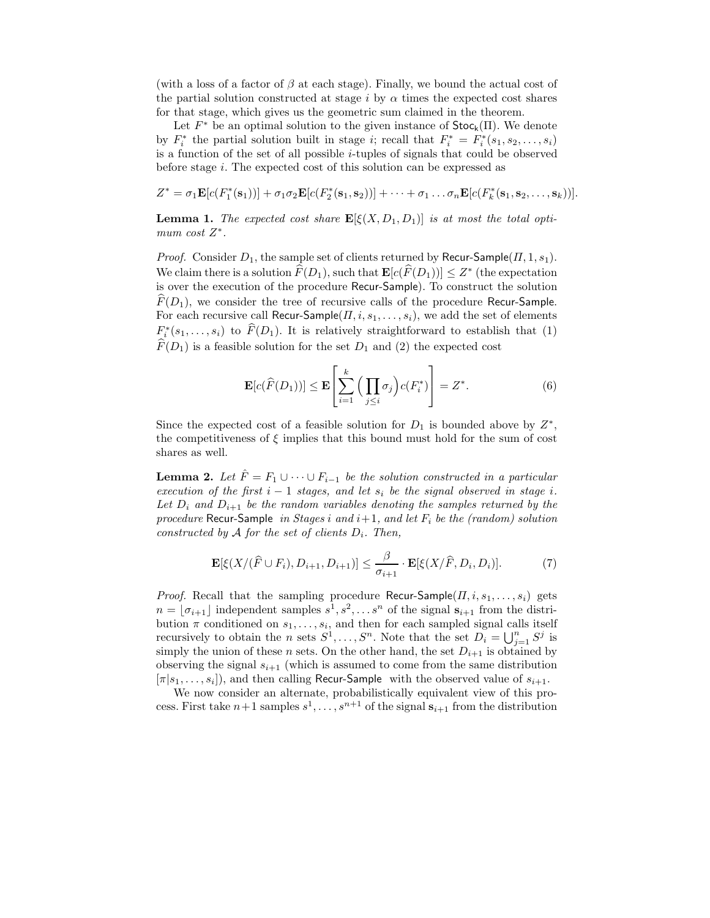(with a loss of a factor of  $\beta$  at each stage). Finally, we bound the actual cost of the partial solution constructed at stage i by  $\alpha$  times the expected cost shares for that stage, which gives us the geometric sum claimed in the theorem.

Let  $F^*$  be an optimal solution to the given instance of  $\text{Stoc}_k(\Pi)$ . We denote by  $F_i^*$  the partial solution built in stage *i*; recall that  $F_i^* = F_i^*(s_1, s_2, \ldots, s_i)$ is a function of the set of all possible  $i$ -tuples of signals that could be observed before stage i. The expected cost of this solution can be expressed as

$$
Z^* = \sigma_1 \mathbf{E}[c(F_1^*(s_1))] + \sigma_1 \sigma_2 \mathbf{E}[c(F_2^*(s_1, s_2))] + \cdots + \sigma_1 \ldots \sigma_n \mathbf{E}[c(F_k^*(s_1, s_2, \ldots, s_k))].
$$

**Lemma 1.** The expected cost share  $\mathbf{E}[\xi(X, D_1, D_1)]$  is at most the total optimum cost  $Z^*$ .

*Proof.* Consider  $D_1$ , the sample set of clients returned by Recur-Sample( $\Pi$ , 1,  $s_1$ ). We claim there is a solution  $\widehat{F}(D_1)$ , such that  $\mathbf{E}[c(\widehat{F}(D_1))] \leq Z^*$  (the expectation is over the execution of the procedure Recur-Sample). To construct the solution  $\widehat{F}(D_1)$ , we consider the tree of recursive calls of the procedure Recur-Sample. For each recursive call Recur-Sample( $\Pi$ ,  $i$ ,  $s_1$ , . . . ,  $s_i$ ), we add the set of elements  $F_i^*(s_1,\ldots,s_i)$  to  $\widehat{F}(D_1)$ . It is relatively straightforward to establish that (1)  $\widehat{F}(D_1)$  is a feasible solution for the set  $D_1$  and (2) the expected cost

$$
\mathbf{E}[c(\widehat{F}(D_1))] \le \mathbf{E}\left[\sum_{i=1}^k \left(\prod_{j\le i} \sigma_j\right) c(F_i^*)\right] = Z^*.
$$
 (6)

Since the expected cost of a feasible solution for  $D_1$  is bounded above by  $Z^*$ , the competitiveness of  $\xi$  implies that this bound must hold for the sum of cost shares as well.

**Lemma 2.** Let  $\hat{F} = F_1 \cup \cdots \cup F_{i-1}$  be the solution constructed in a particular execution of the first  $i - 1$  stages, and let  $s_i$  be the signal observed in stage i. Let  $D_i$  and  $D_{i+1}$  be the random variables denoting the samples returned by the procedure Recur-Sample in Stages i and  $i+1$ , and let  $F_i$  be the (random) solution constructed by A for the set of clients  $D_i$ . Then,

$$
\mathbf{E}[\xi(X/(\widehat{F}\cup F_i), D_{i+1}, D_{i+1})] \leq \frac{\beta}{\sigma_{i+1}} \cdot \mathbf{E}[\xi(X/\widehat{F}, D_i, D_i)].\tag{7}
$$

*Proof.* Recall that the sampling procedure Recur-Sample( $\Pi$ ,  $i$ ,  $s_1$ , ...,  $s_i$ ) gets  $n = \lfloor \sigma_{i+1} \rfloor$  independent samples  $s^1, s^2, \ldots, s^n$  of the signal  $s_{i+1}$  from the distribution  $\pi$  conditioned on  $s_1, \ldots, s_i$ , and then for each sampled signal calls itself recursively to obtain the *n* sets  $S^1, \ldots, S^n$ . Note that the set  $D_i = \bigcup_{j=1}^n S^j$  is simply the union of these n sets. On the other hand, the set  $D_{i+1}$  is obtained by observing the signal  $s_{i+1}$  (which is assumed to come from the same distribution  $[\pi|s_1,\ldots,s_i]$ , and then calling Recur-Sample with the observed value of  $s_{i+1}$ .

We now consider an alternate, probabilistically equivalent view of this process. First take  $n+1$  samples  $s^1, \ldots, s^{n+1}$  of the signal  $s_{i+1}$  from the distribution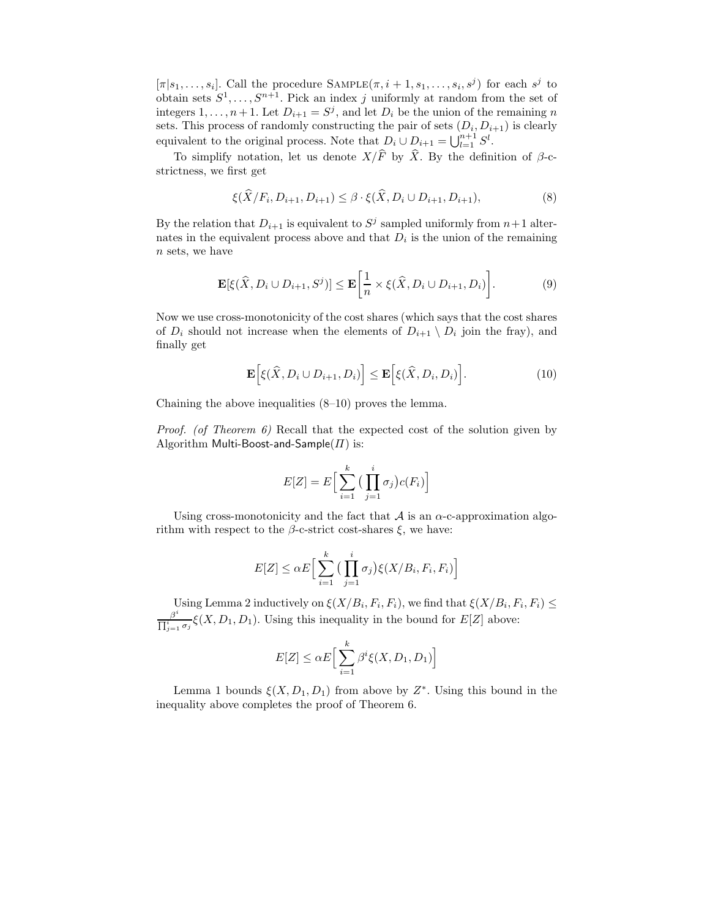$[\pi|s_1,\ldots,s_i]$ . Call the procedure  $\text{SAMPLE}(\pi, i+1, s_1, \ldots, s_i, s^j)$  for each  $s^j$  to obtain sets  $S^1, \ldots, S^{n+1}$ . Pick an index j uniformly at random from the set of integers  $1, \ldots, n+1$ . Let  $D_{i+1} = S^j$ , and let  $D_i$  be the union of the remaining n sets. This process of randomly constructing the pair of sets  $(D_i, D_{i+1})$  is clearly equivalent to the original process. Note that  $D_i \cup D_{i+1} = \bigcup_{l=1}^{n+1} S^l$ .

To simplify notation, let us denote  $X/\widehat{F}$  by  $\widehat{X}$ . By the definition of  $\beta$ -cstrictness, we first get

$$
\xi(\widehat{X}/F_i, D_{i+1}, D_{i+1}) \leq \beta \cdot \xi(\widehat{X}, D_i \cup D_{i+1}, D_{i+1}),
$$
\n(8)

By the relation that  $D_{i+1}$  is equivalent to  $S^j$  sampled uniformly from  $n+1$  alternates in the equivalent process above and that  $D_i$  is the union of the remaining n sets, we have

$$
\mathbf{E}[\xi(\widehat{X}, D_i \cup D_{i+1}, S^j)] \le \mathbf{E}\bigg[\frac{1}{n} \times \xi(\widehat{X}, D_i \cup D_{i+1}, D_i)\bigg].\tag{9}
$$

Now we use cross-monotonicity of the cost shares (which says that the cost shares of  $D_i$  should not increase when the elements of  $D_{i+1} \setminus D_i$  join the fray), and finally get

$$
\mathbf{E}\Big[\xi(\widehat{X}, D_i \cup D_{i+1}, D_i)\Big] \le \mathbf{E}\Big[\xi(\widehat{X}, D_i, D_i)\Big].\tag{10}
$$

Chaining the above inequalities (8–10) proves the lemma.

*Proof.* (of Theorem  $\theta$ ) Recall that the expected cost of the solution given by Algorithm Multi-Boost-and-Sample( $\Pi$ ) is:

$$
E[Z] = E\Big[\sum_{i=1}^{k} \Big(\prod_{j=1}^{i} \sigma_j\Big) c(F_i)\Big]
$$

Using cross-monotonicity and the fact that  $A$  is an  $\alpha$ -c-approximation algorithm with respect to the  $\beta$ -c-strict cost-shares  $\xi$ , we have:

$$
E[Z] \leq \alpha E\Big[\sum_{i=1}^k \big(\prod_{j=1}^i \sigma_j\big) \xi(X/B_i, F_i, F_i)\Big]
$$

Using Lemma 2 inductively on  $\xi(X/B_i, F_i, F_i)$ , we find that  $\xi(X/B_i, F_i, F_i) \leq$  $\beta^i$  $\frac{\beta}{\prod_{j=1}^i \sigma_j} \xi(X, D_1, D_1)$ . Using this inequality in the bound for  $E[Z]$  above:

$$
E[Z] \leq \alpha E \Big[ \sum_{i=1}^{k} \beta^{i} \xi(X, D_1, D_1) \Big]
$$

Lemma 1 bounds  $\xi(X, D_1, D_1)$  from above by  $Z^*$ . Using this bound in the inequality above completes the proof of Theorem 6.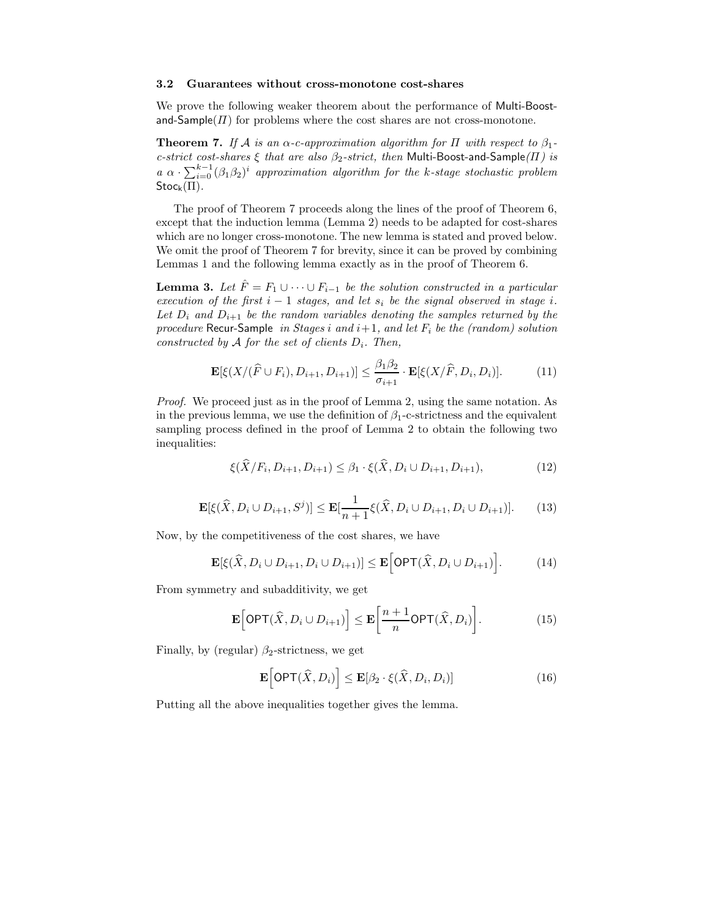#### 3.2 Guarantees without cross-monotone cost-shares

We prove the following weaker theorem about the performance of Multi-Boostand-Sample( $\Pi$ ) for problems where the cost shares are not cross-monotone.

**Theorem 7.** If A is an  $\alpha$ -c-approximation algorithm for  $\Pi$  with respect to  $\beta_1$ c-strict cost-shares  $\xi$  that are also  $\beta_2$ -strict, then Multi-Boost-and-Sample( $\Pi$ ) is  $a \alpha \cdot \sum_{i=0}^{k-1} (\beta_1 \beta_2)^i$  approximation algorithm for the k-stage stochastic problem  $Stoc_k(\Pi)$ .

The proof of Theorem 7 proceeds along the lines of the proof of Theorem 6, except that the induction lemma (Lemma 2) needs to be adapted for cost-shares which are no longer cross-monotone. The new lemma is stated and proved below. We omit the proof of Theorem 7 for brevity, since it can be proved by combining Lemmas 1 and the following lemma exactly as in the proof of Theorem 6.

**Lemma 3.** Let  $\hat{F} = F_1 \cup \cdots \cup F_{i-1}$  be the solution constructed in a particular execution of the first  $i - 1$  stages, and let  $s_i$  be the signal observed in stage i. Let  $D_i$  and  $D_{i+1}$  be the random variables denoting the samples returned by the procedure Recur-Sample in Stages i and  $i+1$ , and let  $F_i$  be the (random) solution constructed by A for the set of clients  $D_i$ . Then,

$$
\mathbf{E}[\xi(X/(\widehat{F}\cup F_i), D_{i+1}, D_{i+1})] \leq \frac{\beta_1 \beta_2}{\sigma_{i+1}} \cdot \mathbf{E}[\xi(X/\widehat{F}, D_i, D_i)].\tag{11}
$$

Proof. We proceed just as in the proof of Lemma 2, using the same notation. As in the previous lemma, we use the definition of  $\beta_1$ -c-strictness and the equivalent sampling process defined in the proof of Lemma 2 to obtain the following two inequalities:

$$
\xi(\hat{X}/F_i, D_{i+1}, D_{i+1}) \leq \beta_1 \cdot \xi(\hat{X}, D_i \cup D_{i+1}, D_{i+1}),\tag{12}
$$

$$
\mathbf{E}[\xi(\widehat{X}, D_i \cup D_{i+1}, S^j)] \le \mathbf{E}[\frac{1}{n+1}\xi(\widehat{X}, D_i \cup D_{i+1}, D_i \cup D_{i+1})].
$$
 (13)

Now, by the competitiveness of the cost shares, we have

$$
\mathbf{E}[\xi(\widehat{X}, D_i \cup D_{i+1}, D_i \cup D_{i+1})] \le \mathbf{E}\Big[\mathsf{OPT}(\widehat{X}, D_i \cup D_{i+1})\Big].\tag{14}
$$

From symmetry and subadditivity, we get

$$
\mathbf{E}\Big[\mathsf{OPT}(\widehat{X}, D_i \cup D_{i+1})\Big] \le \mathbf{E}\bigg[\frac{n+1}{n}\mathsf{OPT}(\widehat{X}, D_i)\bigg].\tag{15}
$$

Finally, by (regular)  $\beta_2$ -strictness, we get

$$
\mathbf{E}\Big[\mathsf{OPT}(\hat{X}, D_i)\Big] \le \mathbf{E}[\beta_2 \cdot \xi(\hat{X}, D_i, D_i)]\tag{16}
$$

Putting all the above inequalities together gives the lemma.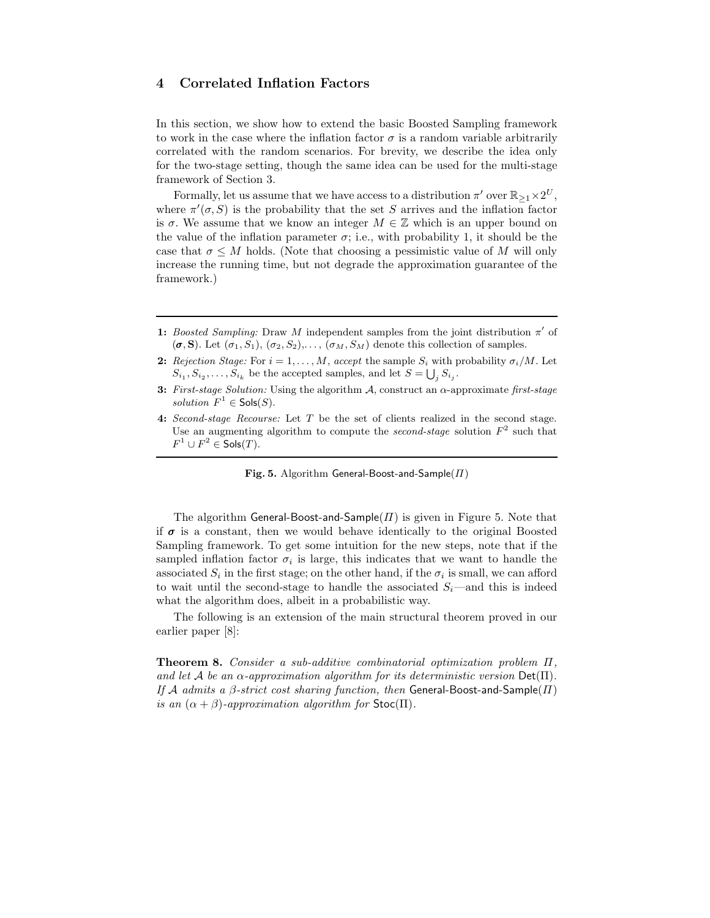# 4 Correlated Inflation Factors

In this section, we show how to extend the basic Boosted Sampling framework to work in the case where the inflation factor  $\sigma$  is a random variable arbitrarily correlated with the random scenarios. For brevity, we describe the idea only for the two-stage setting, though the same idea can be used for the multi-stage framework of Section 3.

Formally, let us assume that we have access to a distribution  $\pi'$  over  $\mathbb{R}_{\geq 1} \times 2^U$ , where  $\pi'(\sigma, S)$  is the probability that the set S arrives and the inflation factor is  $\sigma$ . We assume that we know an integer  $M \in \mathbb{Z}$  which is an upper bound on the value of the inflation parameter  $\sigma$ ; i.e., with probability 1, it should be the case that  $\sigma \leq M$  holds. (Note that choosing a pessimistic value of M will only increase the running time, but not degrade the approximation guarantee of the framework.)

- 1: *Boosted Sampling:* Draw *M* independent samples from the joint distribution  $\pi'$  of  $(\sigma, S)$ . Let  $(\sigma_1, S_1), (\sigma_2, S_2), \ldots, (\sigma_M, S_M)$  denote this collection of samples.
- 2: *Rejection Stage:* For  $i = 1, ..., M$ , *accept* the sample  $S_i$  with probability  $\sigma_i/M$ . Let  $S_{i_1}, S_{i_2}, \ldots, S_{i_k}$  be the accepted samples, and let  $S = \bigcup_j S_{i_j}$ .
- 3: *First-stage Solution:* Using the algorithm A, construct an α-approximate *first-stage solution*  $F^1 \in \mathsf{Sols}(S)$ .
- 4: *Second-stage Recourse:* Let T be the set of clients realized in the second stage. Use an augmenting algorithm to compute the *second-stage* solution  $F^2$  such that  $F^1 \cup F^2 \in \mathsf{Sols}(T).$

Fig. 5. Algorithm General-Boost-and-Sample( $\Pi$ )

The algorithm General-Boost-and-Sample( $\Pi$ ) is given in Figure 5. Note that if  $\sigma$  is a constant, then we would behave identically to the original Boosted Sampling framework. To get some intuition for the new steps, note that if the sampled inflation factor  $\sigma_i$  is large, this indicates that we want to handle the associated  $S_i$  in the first stage; on the other hand, if the  $\sigma_i$  is small, we can afford to wait until the second-stage to handle the associated  $S_i$ —and this is indeed what the algorithm does, albeit in a probabilistic way.

The following is an extension of the main structural theorem proved in our earlier paper [8]:

Theorem 8. Consider a sub-additive combinatorial optimization problem Π, and let A be an  $\alpha$ -approximation algorithm for its deterministic version  $Det(\Pi)$ . If A admits a  $\beta$ -strict cost sharing function, then General-Boost-and-Sample( $\Pi$ ) is an  $(\alpha + \beta)$ -approximation algorithm for Stoc(Π).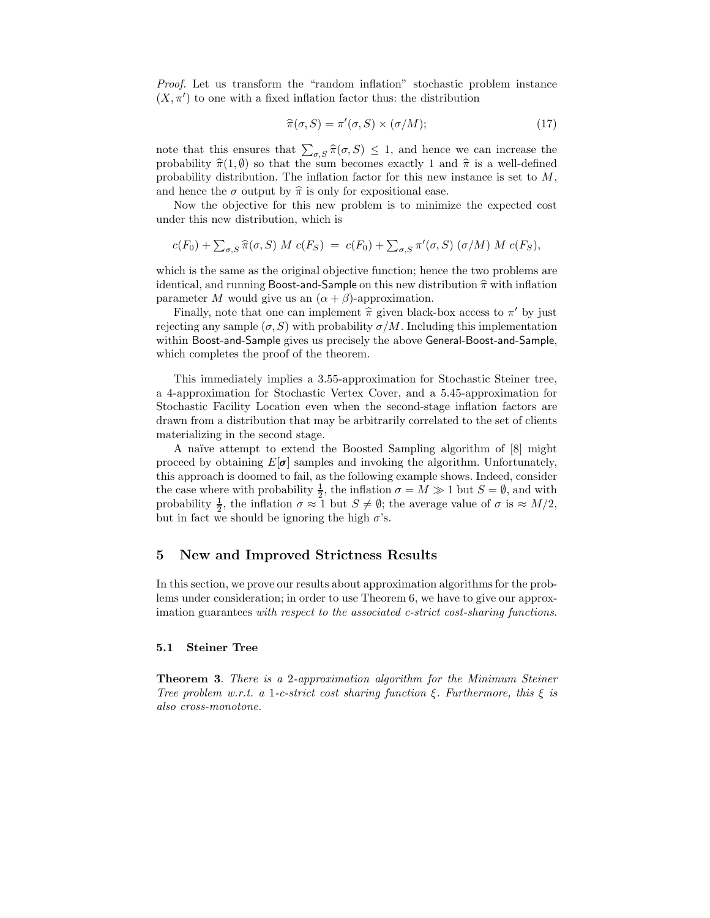Proof. Let us transform the "random inflation" stochastic problem instance  $(X, \pi')$  to one with a fixed inflation factor thus: the distribution

$$
\widehat{\pi}(\sigma, S) = \pi'(\sigma, S) \times (\sigma/M); \tag{17}
$$

note that this ensures that  $\sum_{\sigma, S} \hat{\pi}(\sigma, S) \leq 1$ , and hence we can increase the probability  $\hat{\pi}(1, \emptyset)$  so that the sum becomes exactly 1 and  $\hat{\pi}$  is a well-defined probability distribution. The inflation factor for this new instance is set to  $M$ , and hence the  $\sigma$  output by  $\hat{\pi}$  is only for expositional ease.

Now the objective for this new problem is to minimize the expected cost under this new distribution, which is

$$
c(F_0) + \sum_{\sigma, S} \widehat{\pi}(\sigma, S) M c(F_S) = c(F_0) + \sum_{\sigma, S} \pi'(\sigma, S) (\sigma/M) M c(F_S),
$$

which is the same as the original objective function; hence the two problems are identical, and running Boost-and-Sample on this new distribution  $\hat{\pi}$  with inflation parameter M would give us an  $(\alpha + \beta)$ -approximation.

Finally, note that one can implement  $\hat{\pi}$  given black-box access to  $\pi'$  by just<br>the general  $(\infty, \mathbb{C})$  with nucleights  $\pi/M$ . Including this implementation rejecting any sample  $(\sigma, S)$  with probability  $\sigma/M$ . Including this implementation within Boost-and-Sample gives us precisely the above General-Boost-and-Sample, which completes the proof of the theorem.

This immediately implies a 3.55-approximation for Stochastic Steiner tree, a 4-approximation for Stochastic Vertex Cover, and a 5.45-approximation for Stochastic Facility Location even when the second-stage inflation factors are drawn from a distribution that may be arbitrarily correlated to the set of clients materializing in the second stage.

A naïve attempt to extend the Boosted Sampling algorithm of [8] might proceed by obtaining  $E[\sigma]$  samples and invoking the algorithm. Unfortunately, this approach is doomed to fail, as the following example shows. Indeed, consider the case where with probability  $\frac{1}{2}$ , the inflation  $\sigma = M \gg 1$  but  $S = \emptyset$ , and with probability  $\frac{1}{2}$ , the inflation  $\sigma \approx 1$  but  $S \neq \emptyset$ ; the average value of  $\sigma$  is  $\approx M/2$ , but in fact we should be ignoring the high  $\sigma$ 's.

# 5 New and Improved Strictness Results

In this section, we prove our results about approximation algorithms for the problems under consideration; in order to use Theorem 6, we have to give our approximation guarantees with respect to the associated c-strict cost-sharing functions.

#### 5.1 Steiner Tree

Theorem 3. There is a 2-approximation algorithm for the Minimum Steiner Tree problem w.r.t. a 1-c-strict cost sharing function  $\xi$ . Furthermore, this  $\xi$  is also cross-monotone.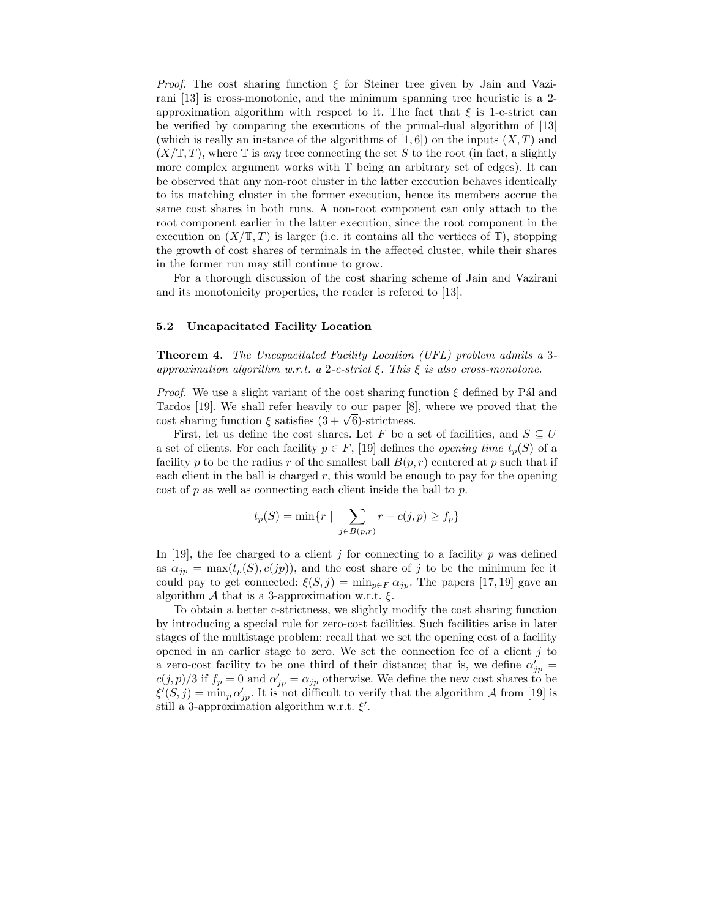*Proof.* The cost sharing function  $\xi$  for Steiner tree given by Jain and Vazirani [13] is cross-monotonic, and the minimum spanning tree heuristic is a 2 approximation algorithm with respect to it. The fact that  $\xi$  is 1-c-strict can be verified by comparing the executions of the primal-dual algorithm of [13] (which is really an instance of the algorithms of  $[1, 6]$ ) on the inputs  $(X, T)$  and  $(X/\mathbb{T}, T)$ , where  $\mathbb{T}$  is any tree connecting the set S to the root (in fact, a slightly more complex argument works with  $\mathbb T$  being an arbitrary set of edges). It can be observed that any non-root cluster in the latter execution behaves identically to its matching cluster in the former execution, hence its members accrue the same cost shares in both runs. A non-root component can only attach to the root component earlier in the latter execution, since the root component in the execution on  $(X/\mathbb{T},T)$  is larger (i.e. it contains all the vertices of  $\mathbb{T}$ ), stopping the growth of cost shares of terminals in the affected cluster, while their shares in the former run may still continue to grow.

For a thorough discussion of the cost sharing scheme of Jain and Vazirani and its monotonicity properties, the reader is refered to [13].

#### 5.2 Uncapacitated Facility Location

Theorem 4. The Uncapacitated Facility Location (UFL) problem admits a 3 approximation algorithm w.r.t. a 2-c-strict  $\xi$ . This  $\xi$  is also cross-monotone.

*Proof.* We use a slight variant of the cost sharing function  $\xi$  defined by Pa and Tardos [19]. We shall refer heavily to our paper [8], where we proved that the cost sharing function ξ satisfies  $(3 + \sqrt{6})$ -strictness.

First, let us define the cost shares. Let F be a set of facilities, and  $S \subseteq U$ a set of clients. For each facility  $p \in F$ , [19] defines the *opening time*  $t_p(S)$  of a facility p to be the radius r of the smallest ball  $B(p, r)$  centered at p such that if each client in the ball is charged  $r$ , this would be enough to pay for the opening cost of  $p$  as well as connecting each client inside the ball to  $p$ .

$$
t_p(S) = \min\{r \mid \sum_{j \in B(p,r)} r - c(j,p) \ge f_p\}
$$

In [19], the fee charged to a client  $j$  for connecting to a facility  $p$  was defined as  $\alpha_{jp} = \max(t_p(S), c(jp))$ , and the cost share of j to be the minimum fee it could pay to get connected:  $\xi(S, j) = \min_{p \in F} \alpha_{jp}$ . The papers [17, 19] gave an algorithm  $\mathcal A$  that is a 3-approximation w.r.t.  $\xi$ .

To obtain a better c-strictness, we slightly modify the cost sharing function by introducing a special rule for zero-cost facilities. Such facilities arise in later stages of the multistage problem: recall that we set the opening cost of a facility opened in an earlier stage to zero. We set the connection fee of a client  $j$  to a zero-cost facility to be one third of their distance; that is, we define  $\alpha'_{jp}$  $c(j, p)/3$  if  $f_p = 0$  and  $\alpha'_{jp} = \alpha_{jp}$  otherwise. We define the new cost shares to be  $\xi'(S, j) = \min_p \alpha'_{jp}$ . It is not difficult to verify that the algorithm A from [19] is still a 3-approximation algorithm w.r.t.  $\xi'$ .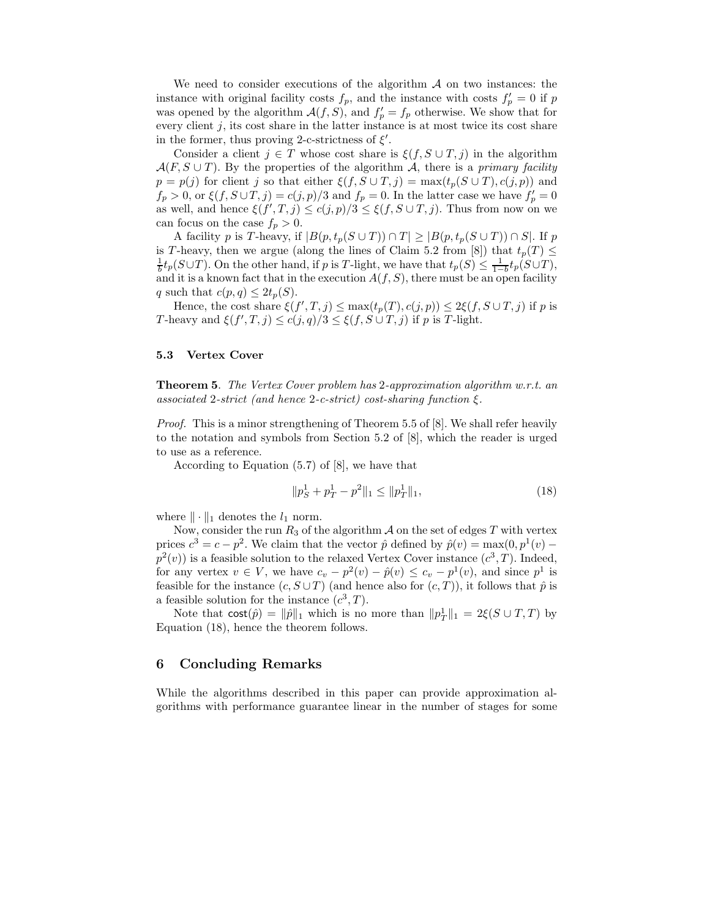We need to consider executions of the algorithm  $\mathcal A$  on two instances: the instance with original facility costs  $f_p$ , and the instance with costs  $f'_p = 0$  if p was opened by the algorithm  $\mathcal{A}(f, S)$ , and  $f'_p = f_p$  otherwise. We show that for every client  $j$ , its cost share in the latter instance is at most twice its cost share in the former, thus proving 2-c-strictness of  $\xi'$ .

Consider a client  $j \in T$  whose cost share is  $\xi(f, S \cup T, j)$  in the algorithm  $\mathcal{A}(F, S \cup T)$ . By the properties of the algorithm A, there is a *primary facility*  $p = p(j)$  for client j so that either  $\xi(f, S \cup T, j) = \max(t_p(S \cup T), c(j, p))$  and  $f_p > 0$ , or  $\xi(f, S \cup T, j) = c(j, p)/3$  and  $f_p = 0$ . In the latter case we have  $f'_p = 0$ as well, and hence  $\xi(f',T,j) \leq c(j,p)/3 \leq \xi(f,S \cup T,j)$ . Thus from now on we can focus on the case  $f_p > 0$ .

A facility p is T-heavy, if  $|B(p, t_p(S \cup T)) \cap T| \geq |B(p, t_p(S \cup T)) \cap S|$ . If p is T-heavy, then we argue (along the lines of Claim 5.2 from [8]) that  $t_p(T) \leq$  $\frac{1}{b}t_p(S\cup T)$ . On the other hand, if p is T-light, we have that  $t_p(S) \leq \frac{1}{1-b}t_p(S\cup T)$ , and it is a known fact that in the execution  $A(f, S)$ , there must be an open facility q such that  $c(p, q) \leq 2t_p(S)$ .

Hence, the cost share  $\xi(f', T, j) \le \max(t_p(T), c(j, p)) \le 2\xi(f, S \cup T, j)$  if p is T-heavy and  $\xi(f', T, j) \le c(j, q)/3 \le \xi(f, S \cup T, j)$  if p is T-light.

#### 5.3 Vertex Cover

Theorem 5. The Vertex Cover problem has 2-approximation algorithm w.r.t. an associated 2-strict (and hence 2-c-strict) cost-sharing function  $\xi$ .

Proof. This is a minor strengthening of Theorem 5.5 of [8]. We shall refer heavily to the notation and symbols from Section 5.2 of [8], which the reader is urged to use as a reference.

According to Equation (5.7) of [8], we have that

$$
||p_S^1 + p_T^1 - p^2||_1 \le ||p_T^1||_1,
$$
\n(18)

where  $\|\cdot\|_1$  denotes the  $l_1$  norm.

Now, consider the run  $R_3$  of the algorithm  $A$  on the set of edges  $T$  with vertex prices  $c^3 = c - p^2$ . We claim that the vector  $\hat{p}$  defined by  $\hat{p}(v) = \max(0, p^1(v) - \hat{p}(v))$  $p^2(v)$ ) is a feasible solution to the relaxed Vertex Cover instance  $(c^3, T)$ . Indeed, for any vertex  $v \in V$ , we have  $c_v - p^2(v) - \hat{p}(v) \le c_v - p^1(v)$ , and since  $p^1$  is feasible for the instance  $(c, S \cup T)$  (and hence also for  $(c, T)$ ), it follows that  $\hat{p}$  is a feasible solution for the instance  $(c^3, T)$ .

Note that  $\text{cost}(\hat{p}) = ||\hat{p}||_1$  which is no more than  $||p_T||_1 = 2\xi(S \cup T, T)$  by Equation (18), hence the theorem follows.

## 6 Concluding Remarks

While the algorithms described in this paper can provide approximation algorithms with performance guarantee linear in the number of stages for some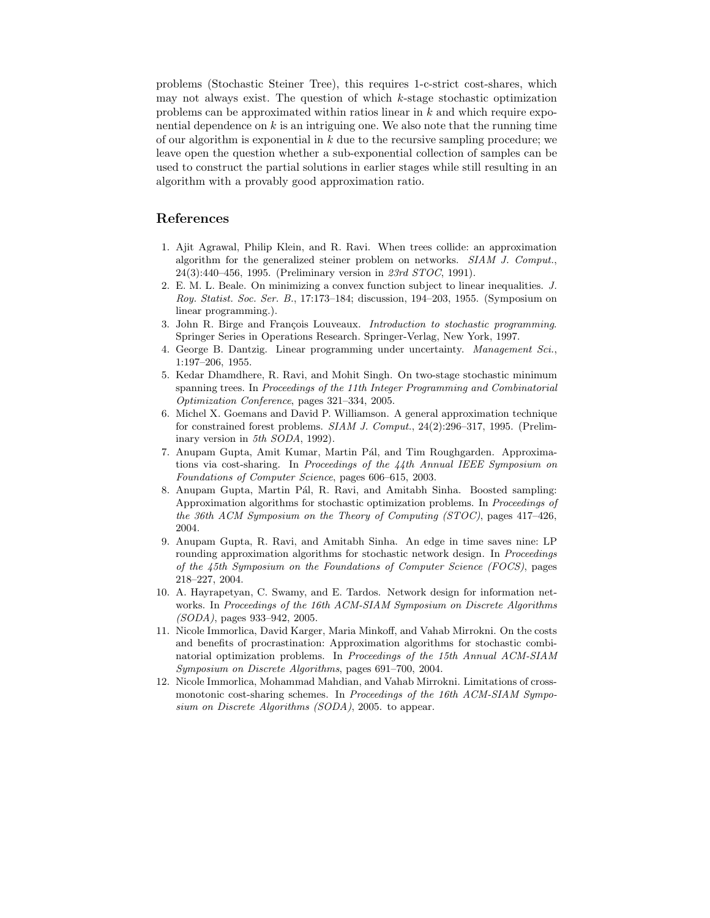problems (Stochastic Steiner Tree), this requires 1-c-strict cost-shares, which may not always exist. The question of which k-stage stochastic optimization problems can be approximated within ratios linear in k and which require exponential dependence on  $k$  is an intriguing one. We also note that the running time of our algorithm is exponential in  $k$  due to the recursive sampling procedure; we leave open the question whether a sub-exponential collection of samples can be used to construct the partial solutions in earlier stages while still resulting in an algorithm with a provably good approximation ratio.

# References

- 1. Ajit Agrawal, Philip Klein, and R. Ravi. When trees collide: an approximation algorithm for the generalized steiner problem on networks. *SIAM J. Comput.*, 24(3):440–456, 1995. (Preliminary version in *23rd STOC*, 1991).
- 2. E. M. L. Beale. On minimizing a convex function subject to linear inequalities. *J. Roy. Statist. Soc. Ser. B.*, 17:173–184; discussion, 194–203, 1955. (Symposium on linear programming.).
- 3. John R. Birge and François Louveaux. *Introduction to stochastic programming*. Springer Series in Operations Research. Springer-Verlag, New York, 1997.
- 4. George B. Dantzig. Linear programming under uncertainty. *Management Sci.*, 1:197–206, 1955.
- 5. Kedar Dhamdhere, R. Ravi, and Mohit Singh. On two-stage stochastic minimum spanning trees. In *Proceedings of the 11th Integer Programming and Combinatorial Optimization Conference*, pages 321–334, 2005.
- 6. Michel X. Goemans and David P. Williamson. A general approximation technique for constrained forest problems. *SIAM J. Comput.*, 24(2):296–317, 1995. (Preliminary version in *5th SODA*, 1992).
- 7. Anupam Gupta, Amit Kumar, Martin Pál, and Tim Roughgarden. Approximations via cost-sharing. In *Proceedings of the 44th Annual IEEE Symposium on Foundations of Computer Science*, pages 606–615, 2003.
- 8. Anupam Gupta, Martin Pál, R. Ravi, and Amitabh Sinha. Boosted sampling: Approximation algorithms for stochastic optimization problems. In *Proceedings of the 36th ACM Symposium on the Theory of Computing (STOC)*, pages 417–426, 2004.
- 9. Anupam Gupta, R. Ravi, and Amitabh Sinha. An edge in time saves nine: LP rounding approximation algorithms for stochastic network design. In *Proceedings of the 45th Symposium on the Foundations of Computer Science (FOCS)*, pages 218–227, 2004.
- 10. A. Hayrapetyan, C. Swamy, and E. Tardos. Network design for information networks. In *Proceedings of the 16th ACM-SIAM Symposium on Discrete Algorithms (SODA)*, pages 933–942, 2005.
- 11. Nicole Immorlica, David Karger, Maria Minkoff, and Vahab Mirrokni. On the costs and benefits of procrastination: Approximation algorithms for stochastic combinatorial optimization problems. In *Proceedings of the 15th Annual ACM-SIAM Symposium on Discrete Algorithms*, pages 691–700, 2004.
- 12. Nicole Immorlica, Mohammad Mahdian, and Vahab Mirrokni. Limitations of crossmonotonic cost-sharing schemes. In *Proceedings of the 16th ACM-SIAM Symposium on Discrete Algorithms (SODA)*, 2005. to appear.